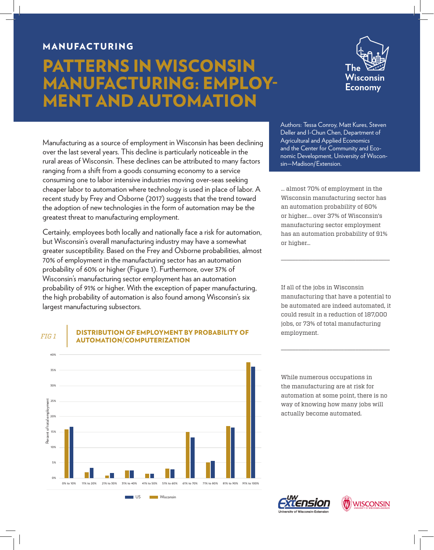## MANUFACTURING

## PATTERNS IN WISCONSIN MANUFACTURING: EMPLOY-MENT AND AUTOMATION



Manufacturing as a source of employment in Wisconsin has been declining over the last several years. This decline is particularly noticeable in the rural areas of Wisconsin. These declines can be attributed to many factors ranging from a shift from a goods consuming economy to a service consuming one to labor intensive industries moving over-seas seeking cheaper labor to automation where technology is used in place of labor. A recent study by Frey and Osborne (2017) suggests that the trend toward the adoption of new technologies in the form of automation may be the greatest threat to manufacturing employment.

Certainly, employees both locally and nationally face a risk for automation, but Wisconsin's overall manufacturing industry may have a somewhat greater susceptibility. Based on the Frey and Osborne probabilities, almost 70% of employment in the manufacturing sector has an automation probability of 60% or higher (Figure 1). Furthermore, over 37% of Wisconsin's manufacturing sector employment has an automation probability of 91% or higher. With the exception of paper manufacturing, the high probability of automation is also found among Wisconsin's six largest manufacturing subsectors.

Authors: Tessa Conroy, Matt Kures, Steven Deller and I-Chun Chen, Department of Agricultural and Applied Economics and the Center for Community and Economic Development, University of Wisconsin—Madison/Extension.

… almost 70% of employment in the Wisconsin manufacturing sector has an automation probability of 60% or higher…. over 37% of Wisconsin's manufacturing sector employment has an automation probability of 91% or higher…

\_\_\_\_\_\_\_\_\_\_\_\_\_\_\_\_\_\_\_\_\_\_\_\_\_\_\_\_\_\_\_\_\_\_\_\_\_\_

If all of the jobs in Wisconsin manufacturing that have a potential to be automated are indeed automated, it could result in a reduction of 187,000 jobs, or 73% of total manufacturing employment.

\_\_\_\_\_\_\_\_\_\_\_\_\_\_\_\_\_\_\_\_\_\_\_\_\_\_\_\_\_\_\_\_\_\_\_\_\_\_

While numerous occupations in the manufacturing are at risk for automation at some point, there is no way of knowing how many jobs will actually become automated.



DISTRIBUTION OF EMPLOYMENT BY PROBABILITY OF **FIG 1 AUTOMATION/COMPUTERIZATION**